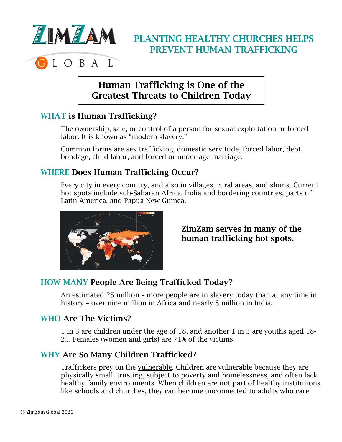

# PLANTING HEALTHY CHURCHES HELPS PREVENT HUMAN TRAFFICKING

## Human Trafficking is One of the Greatest Threats to Children Today

## WHAT is Human Trafficking?

The ownership, sale, or control of a person for sexual exploitation or forced labor. It is known as "modern slavery."

Common forms are sex trafficking, domestic servitude, forced labor, debt bondage, child labor, and forced or under-age marriage.

## WHERE Does Human Trafficking Occur?

Every city in every country, and also in villages, rural areas, and slums. Current hot spots include sub-Saharan Africa, India and bordering countries, parts of Latin America, and Papua New Guinea.



## ZimZam serves in many of the human trafficking hot spots.

## HOW MANY People Are Being Trafficked Today?

An estimated 25 million – more people are in slavery today than at any time in history - over nine million in Africa and nearly 8 million in India.

#### WHO Are The Victims?

1 in 3 are children under the age of 18, and another 1 in 3 are youths aged 18- 25. Females (women and girls) are 71% of the victims.

#### WHY Are So Many Children Trafficked?

Traffickers prey on the vulnerable. Children are vulnerable because they are physically small, trusting, subject to poverty and homelessness, and often lack healthy family environments. When children are not part of healthy institutions like schools and churches, they can become unconnected to adults who care.